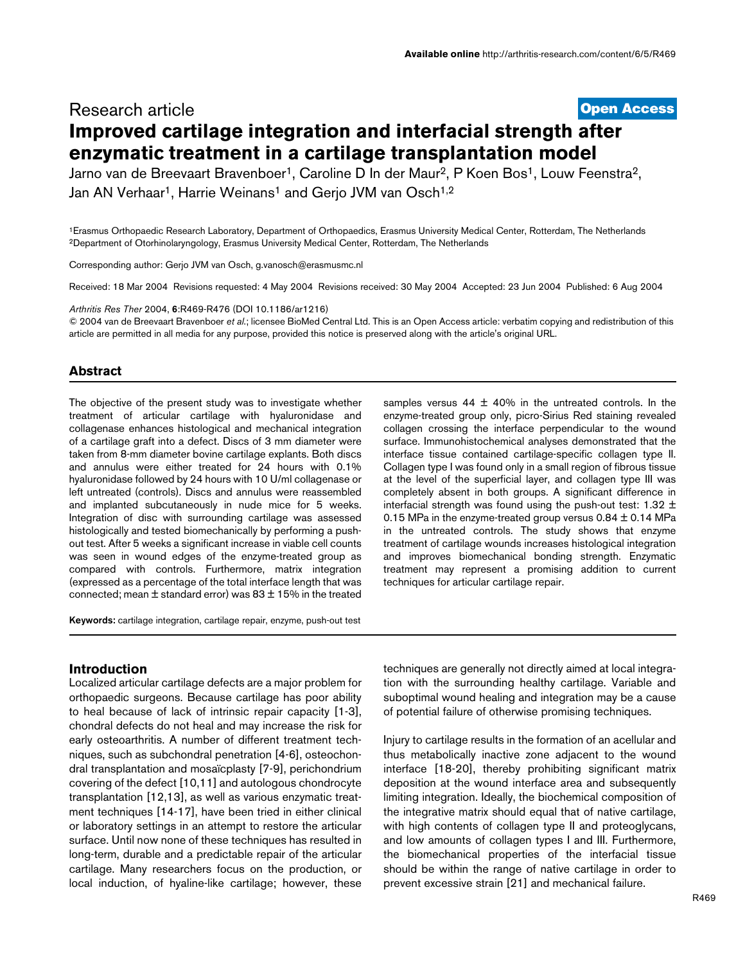# **[Open Access](http://www.biomedcentral.com/info/about/charter/)** Research article **Improved cartilage integration and interfacial strength after enzymatic treatment in a cartilage transplantation model**

Jarno van de Breevaart Bravenboer<sup>1</sup>, Caroline D In der Maur<sup>2</sup>, P Koen Bos<sup>1</sup>, Louw Feenstra<sup>2</sup>, Jan AN Verhaar<sup>1</sup>, Harrie Weinans<sup>1</sup> and Gerjo JVM van Osch<sup>1,2</sup>

1Erasmus Orthopaedic Research Laboratory, Department of Orthopaedics, Erasmus University Medical Center, Rotterdam, The Netherlands 2Department of Otorhinolaryngology, Erasmus University Medical Center, Rotterdam, The Netherlands

Corresponding author: Gerjo JVM van Osch, g.vanosch@erasmusmc.nl

Received: 18 Mar 2004 Revisions requested: 4 May 2004 Revisions received: 30 May 2004 Accepted: 23 Jun 2004 Published: 6 Aug 2004

*Arthritis Res Ther* 2004, 6:R469-R476 (DOI 10.1186/ar1216)

© 2004 van de Breevaart Bravenboer *et al*.; licensee BioMed Central Ltd. This is an Open Access article: verbatim copying and redistribution of this article are permitted in all media for any purpose, provided this notice is preserved along with the article's original URL.

# **Abstract**

The objective of the present study was to investigate whether treatment of articular cartilage with hyaluronidase and collagenase enhances histological and mechanical integration of a cartilage graft into a defect. Discs of 3 mm diameter were taken from 8-mm diameter bovine cartilage explants. Both discs and annulus were either treated for 24 hours with 0.1% hyaluronidase followed by 24 hours with 10 U/ml collagenase or left untreated (controls). Discs and annulus were reassembled and implanted subcutaneously in nude mice for 5 weeks. Integration of disc with surrounding cartilage was assessed histologically and tested biomechanically by performing a pushout test. After 5 weeks a significant increase in viable cell counts was seen in wound edges of the enzyme-treated group as compared with controls. Furthermore, matrix integration (expressed as a percentage of the total interface length that was connected; mean  $\pm$  standard error) was 83  $\pm$  15% in the treated

**Keywords:** cartilage integration, cartilage repair, enzyme, push-out test

## **Introduction**

Localized articular cartilage defects are a major problem for orthopaedic surgeons. Because cartilage has poor ability to heal because of lack of intrinsic repair capacity [1-3], chondral defects do not heal and may increase the risk for early osteoarthritis. A number of different treatment techniques, such as subchondral penetration [4-6], osteochondral transplantation and mosaïcplasty [7-9], perichondrium covering of the defect [10,11] and autologous chondrocyte transplantation [12,13], as well as various enzymatic treatment techniques [14-17], have been tried in either clinical or laboratory settings in an attempt to restore the articular surface. Until now none of these techniques has resulted in long-term, durable and a predictable repair of the articular cartilage. Many researchers focus on the production, or local induction, of hyaline-like cartilage; however, these

samples versus  $44 \pm 40\%$  in the untreated controls. In the enzyme-treated group only, picro-Sirius Red staining revealed collagen crossing the interface perpendicular to the wound surface. Immunohistochemical analyses demonstrated that the interface tissue contained cartilage-specific collagen type II. Collagen type I was found only in a small region of fibrous tissue at the level of the superficial layer, and collagen type III was completely absent in both groups. A significant difference in interfacial strength was found using the push-out test:  $1.32 \pm$ 0.15 MPa in the enzyme-treated group versus 0.84 ± 0.14 MPa in the untreated controls. The study shows that enzyme treatment of cartilage wounds increases histological integration and improves biomechanical bonding strength. Enzymatic treatment may represent a promising addition to current techniques for articular cartilage repair.

techniques are generally not directly aimed at local integration with the surrounding healthy cartilage. Variable and suboptimal wound healing and integration may be a cause of potential failure of otherwise promising techniques.

Injury to cartilage results in the formation of an acellular and thus metabolically inactive zone adjacent to the wound interface [18-20], thereby prohibiting significant matrix deposition at the wound interface area and subsequently limiting integration. Ideally, the biochemical composition of the integrative matrix should equal that of native cartilage, with high contents of collagen type II and proteoglycans, and low amounts of collagen types I and III. Furthermore, the biomechanical properties of the interfacial tissue should be within the range of native cartilage in order to prevent excessive strain [21] and mechanical failure.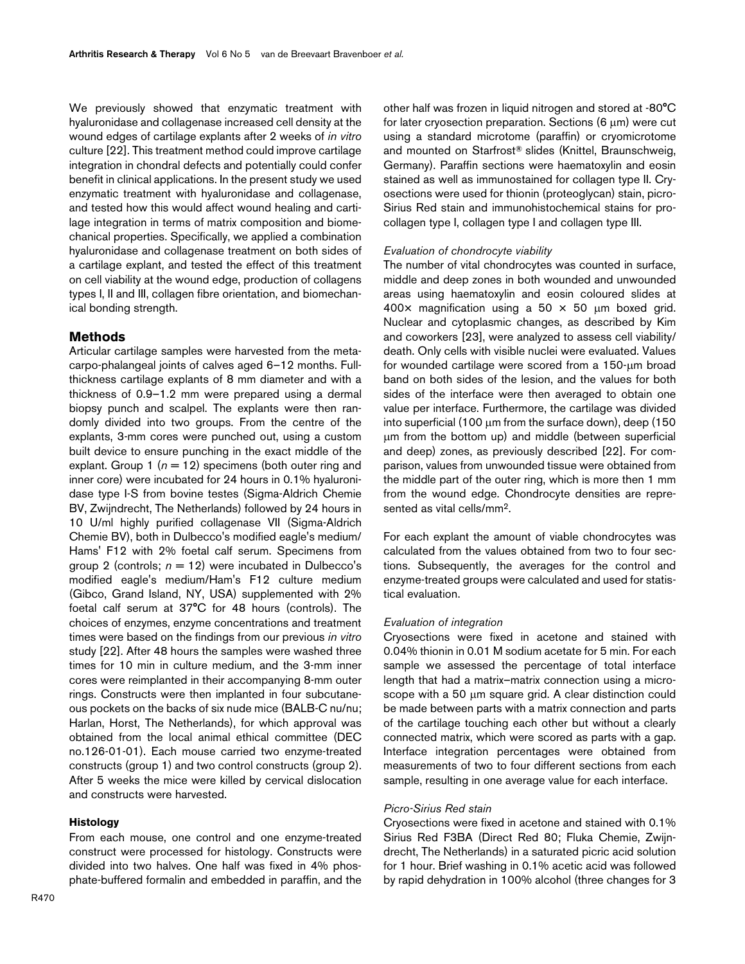We previously showed that enzymatic treatment with hyaluronidase and collagenase increased cell density at the wound edges of cartilage explants after 2 weeks of *in vitro* culture [22]. This treatment method could improve cartilage integration in chondral defects and potentially could confer benefit in clinical applications. In the present study we used enzymatic treatment with hyaluronidase and collagenase, and tested how this would affect wound healing and cartilage integration in terms of matrix composition and biomechanical properties. Specifically, we applied a combination hyaluronidase and collagenase treatment on both sides of a cartilage explant, and tested the effect of this treatment on cell viability at the wound edge, production of collagens types I, II and III, collagen fibre orientation, and biomechanical bonding strength.

## **Methods**

Articular cartilage samples were harvested from the metacarpo-phalangeal joints of calves aged 6–12 months. Fullthickness cartilage explants of 8 mm diameter and with a thickness of 0.9–1.2 mm were prepared using a dermal biopsy punch and scalpel. The explants were then randomly divided into two groups. From the centre of the explants, 3-mm cores were punched out, using a custom built device to ensure punching in the exact middle of the explant. Group 1 ( $n = 12$ ) specimens (both outer ring and inner core) were incubated for 24 hours in 0.1% hyaluronidase type I-S from bovine testes (Sigma-Aldrich Chemie BV, Zwijndrecht, The Netherlands) followed by 24 hours in 10 U/ml highly purified collagenase VII (Sigma-Aldrich Chemie BV), both in Dulbecco's modified eagle's medium/ Hams' F12 with 2% foetal calf serum. Specimens from group 2 (controls;  $n = 12$ ) were incubated in Dulbecco's modified eagle's medium/Ham's F12 culture medium (Gibco, Grand Island, NY, USA) supplemented with 2% foetal calf serum at 37°C for 48 hours (controls). The choices of enzymes, enzyme concentrations and treatment times were based on the findings from our previous *in vitro* study [22]. After 48 hours the samples were washed three times for 10 min in culture medium, and the 3-mm inner cores were reimplanted in their accompanying 8-mm outer rings. Constructs were then implanted in four subcutaneous pockets on the backs of six nude mice (BALB-C nu/nu; Harlan, Horst, The Netherlands), for which approval was obtained from the local animal ethical committee (DEC no.126-01-01). Each mouse carried two enzyme-treated constructs (group 1) and two control constructs (group 2). After 5 weeks the mice were killed by cervical dislocation and constructs were harvested.

## **Histology**

From each mouse, one control and one enzyme-treated construct were processed for histology. Constructs were divided into two halves. One half was fixed in 4% phosphate-buffered formalin and embedded in paraffin, and the

other half was frozen in liquid nitrogen and stored at -80°C for later cryosection preparation. Sections (6 µm) were cut using a standard microtome (paraffin) or cryomicrotome and mounted on Starfrost® slides (Knittel, Braunschweig, Germany). Paraffin sections were haematoxylin and eosin stained as well as immunostained for collagen type II. Cryosections were used for thionin (proteoglycan) stain, picro-Sirius Red stain and immunohistochemical stains for procollagen type I, collagen type I and collagen type III.

### *Evaluation of chondrocyte viability*

The number of vital chondrocytes was counted in surface, middle and deep zones in both wounded and unwounded areas using haematoxylin and eosin coloured slides at 400 $\times$  magnification using a 50  $\times$  50  $\mu$ m boxed grid. Nuclear and cytoplasmic changes, as described by Kim and coworkers [23], were analyzed to assess cell viability/ death. Only cells with visible nuclei were evaluated. Values for wounded cartilage were scored from a 150-µm broad band on both sides of the lesion, and the values for both sides of the interface were then averaged to obtain one value per interface. Furthermore, the cartilage was divided into superficial (100  $\mu$ m from the surface down), deep (150 µm from the bottom up) and middle (between superficial and deep) zones, as previously described [22]. For comparison, values from unwounded tissue were obtained from the middle part of the outer ring, which is more then 1 mm from the wound edge. Chondrocyte densities are represented as vital cells/mm2.

For each explant the amount of viable chondrocytes was calculated from the values obtained from two to four sections. Subsequently, the averages for the control and enzyme-treated groups were calculated and used for statistical evaluation.

### *Evaluation of integration*

Cryosections were fixed in acetone and stained with 0.04% thionin in 0.01 M sodium acetate for 5 min. For each sample we assessed the percentage of total interface length that had a matrix–matrix connection using a microscope with a 50 um square grid. A clear distinction could be made between parts with a matrix connection and parts of the cartilage touching each other but without a clearly connected matrix, which were scored as parts with a gap. Interface integration percentages were obtained from measurements of two to four different sections from each sample, resulting in one average value for each interface.

## *Picro-Sirius Red stain*

Cryosections were fixed in acetone and stained with 0.1% Sirius Red F3BA (Direct Red 80; Fluka Chemie, Zwijndrecht, The Netherlands) in a saturated picric acid solution for 1 hour. Brief washing in 0.1% acetic acid was followed by rapid dehydration in 100% alcohol (three changes for 3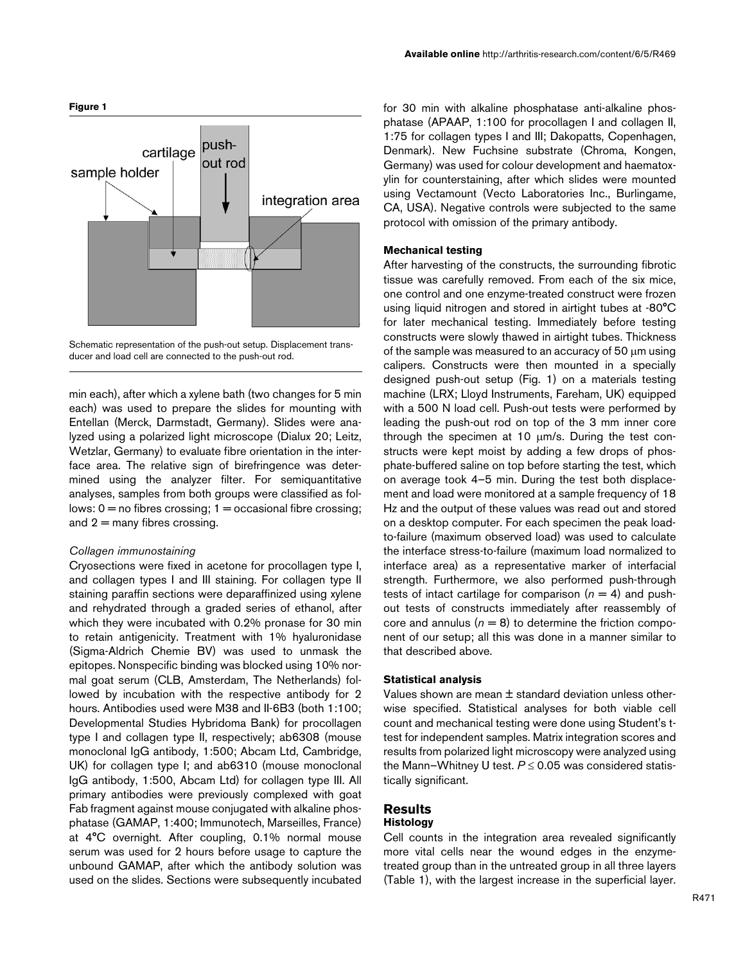



Schematic representation of the push-out setup. Displacement transducer and load cell are connected to the push-out rod.

min each), after which a xylene bath (two changes for 5 min each) was used to prepare the slides for mounting with Entellan (Merck, Darmstadt, Germany). Slides were analyzed using a polarized light microscope (Dialux 20; Leitz, Wetzlar, Germany) to evaluate fibre orientation in the interface area. The relative sign of birefringence was determined using the analyzer filter. For semiquantitative analyses, samples from both groups were classified as follows:  $0 =$  no fibres crossing;  $1 =$  occasional fibre crossing; and  $2 =$  many fibres crossing.

### *Collagen immunostaining*

Cryosections were fixed in acetone for procollagen type I, and collagen types I and III staining. For collagen type II staining paraffin sections were deparaffinized using xylene and rehydrated through a graded series of ethanol, after which they were incubated with 0.2% pronase for 30 min to retain antigenicity. Treatment with 1% hyaluronidase (Sigma-Aldrich Chemie BV) was used to unmask the epitopes. Nonspecific binding was blocked using 10% normal goat serum (CLB, Amsterdam, The Netherlands) followed by incubation with the respective antibody for 2 hours. Antibodies used were M38 and II-6B3 (both 1:100; Developmental Studies Hybridoma Bank) for procollagen type I and collagen type II, respectively; ab6308 (mouse monoclonal IgG antibody, 1:500; Abcam Ltd, Cambridge, UK) for collagen type I; and ab6310 (mouse monoclonal IgG antibody, 1:500, Abcam Ltd) for collagen type III. All primary antibodies were previously complexed with goat Fab fragment against mouse conjugated with alkaline phosphatase (GAMAP, 1:400; Immunotech, Marseilles, France) at 4°C overnight. After coupling, 0.1% normal mouse serum was used for 2 hours before usage to capture the unbound GAMAP, after which the antibody solution was used on the slides. Sections were subsequently incubated

for 30 min with alkaline phosphatase anti-alkaline phosphatase (APAAP, 1:100 for procollagen I and collagen II, 1:75 for collagen types I and III; Dakopatts, Copenhagen, Denmark). New Fuchsine substrate (Chroma, Kongen, Germany) was used for colour development and haematoxylin for counterstaining, after which slides were mounted using Vectamount (Vecto Laboratories Inc., Burlingame, CA, USA). Negative controls were subjected to the same protocol with omission of the primary antibody.

### **Mechanical testing**

After harvesting of the constructs, the surrounding fibrotic tissue was carefully removed. From each of the six mice, one control and one enzyme-treated construct were frozen using liquid nitrogen and stored in airtight tubes at -80°C for later mechanical testing. Immediately before testing constructs were slowly thawed in airtight tubes. Thickness of the sample was measured to an accuracy of 50  $\mu$ m using calipers. Constructs were then mounted in a specially designed push-out setup (Fig. 1) on a materials testing machine (LRX; Lloyd Instruments, Fareham, UK) equipped with a 500 N load cell. Push-out tests were performed by leading the push-out rod on top of the 3 mm inner core through the specimen at 10 µm/s. During the test constructs were kept moist by adding a few drops of phosphate-buffered saline on top before starting the test, which on average took 4–5 min. During the test both displacement and load were monitored at a sample frequency of 18 Hz and the output of these values was read out and stored on a desktop computer. For each specimen the peak loadto-failure (maximum observed load) was used to calculate the interface stress-to-failure (maximum load normalized to interface area) as a representative marker of interfacial strength. Furthermore, we also performed push-through tests of intact cartilage for comparison  $(n = 4)$  and pushout tests of constructs immediately after reassembly of core and annulus  $(n = 8)$  to determine the friction component of our setup; all this was done in a manner similar to that described above.

### **Statistical analysis**

Values shown are mean ± standard deviation unless otherwise specified. Statistical analyses for both viable cell count and mechanical testing were done using Student's ttest for independent samples. Matrix integration scores and results from polarized light microscopy were analyzed using the Mann–Whitney U test.  $P \le 0.05$  was considered statistically significant.

# **Results**

# **Histology**

Cell counts in the integration area revealed significantly more vital cells near the wound edges in the enzymetreated group than in the untreated group in all three layers (Table [1\)](#page-3-0), with the largest increase in the superficial layer.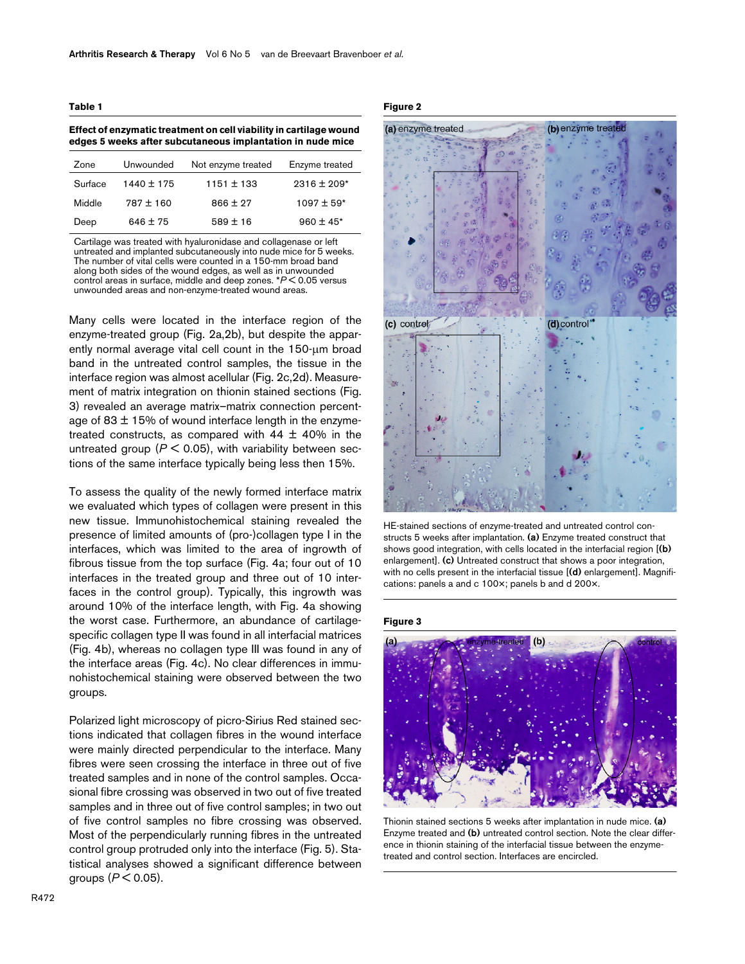#### <span id="page-3-0"></span>**Table 1**

| Effect of enzymatic treatment on cell viability in cartilage wound |
|--------------------------------------------------------------------|
| edges 5 weeks after subcutaneous implantation in nude mice         |

| Zone    | Unwounded    | Not enzyme treated | Enzyme treated            |
|---------|--------------|--------------------|---------------------------|
| Surface | 1440 ± 175   | $1151 \pm 133$     | $2316 \pm 209$ *          |
| Middle  | $787 + 160$  | $866 \pm 27$       | $1097 \pm 59*$            |
| Deep    | $646 \pm 75$ | $589 \pm 16$       | $960 \pm 45$ <sup>*</sup> |

Cartilage was treated with hyaluronidase and collagenase or left untreated and implanted subcutaneously into nude mice for 5 weeks. The number of vital cells were counted in a 150-mm broad band along both sides of the wound edges, as well as in unwounded control areas in surface, middle and deep zones. \**P* < 0.05 versus unwounded areas and non-enzyme-treated wound areas.

Many cells were located in the interface region of the enzyme-treated group (Fig. 2a,2b), but despite the apparently normal average vital cell count in the 150-µm broad band in the untreated control samples, the tissue in the interface region was almost acellular (Fig. 2c,2d). Measurement of matrix integration on thionin stained sections (Fig. 3) revealed an average matrix–matrix connection percentage of 83  $\pm$  15% of wound interface length in the enzymetreated constructs, as compared with  $44 \pm 40\%$  in the untreated group ( $P < 0.05$ ), with variability between sections of the same interface typically being less then 15%.

To assess the quality of the newly formed interface matrix we evaluated which types of collagen were present in this new tissue. Immunohistochemical staining revealed the presence of limited amounts of (pro-)collagen type I in the interfaces, which was limited to the area of ingrowth of fibrous tissue from the top surface (Fig. 4a; four out of 10 interfaces in the treated group and three out of 10 interfaces in the control group). Typically, this ingrowth was around 10% of the interface length, with Fig. 4a showing the worst case. Furthermore, an abundance of cartilagespecific collagen type II was found in all interfacial matrices (Fig. 4b), whereas no collagen type III was found in any of the interface areas (Fig. 4c). No clear differences in immunohistochemical staining were observed between the two groups.

Polarized light microscopy of picro-Sirius Red stained sections indicated that collagen fibres in the wound interface were mainly directed perpendicular to the interface. Many fibres were seen crossing the interface in three out of five treated samples and in none of the control samples. Occasional fibre crossing was observed in two out of five treated samples and in three out of five control samples; in two out of five control samples no fibre crossing was observed. Most of the perpendicularly running fibres in the untreated control group protruded only into the interface (Fig. 5). Statistical analyses showed a significant difference between groups (*P* < 0.05).

#### **Figure 2**



HE-stained sections of enzyme-treated and untreated control constructs 5 weeks after implantation. **(a)** Enzyme treated construct that shows good integration, with cells located in the interfacial region [**(b)**  enlargement]. **(c)** Untreated construct that shows a poor integration, with no cells present in the interfacial tissue [**(d)** enlargement]. Magnifications: panels a and c 100×; panels b and d 200×.

### **Figure 3**



Thionin stained sections 5 weeks after implantation in nude mice. (a) Enzyme treated and **(b)** untreated control section. Note the clear difference in thionin staining of the interfacial tissue between the enzymetreated and control section. Interfaces are encircled.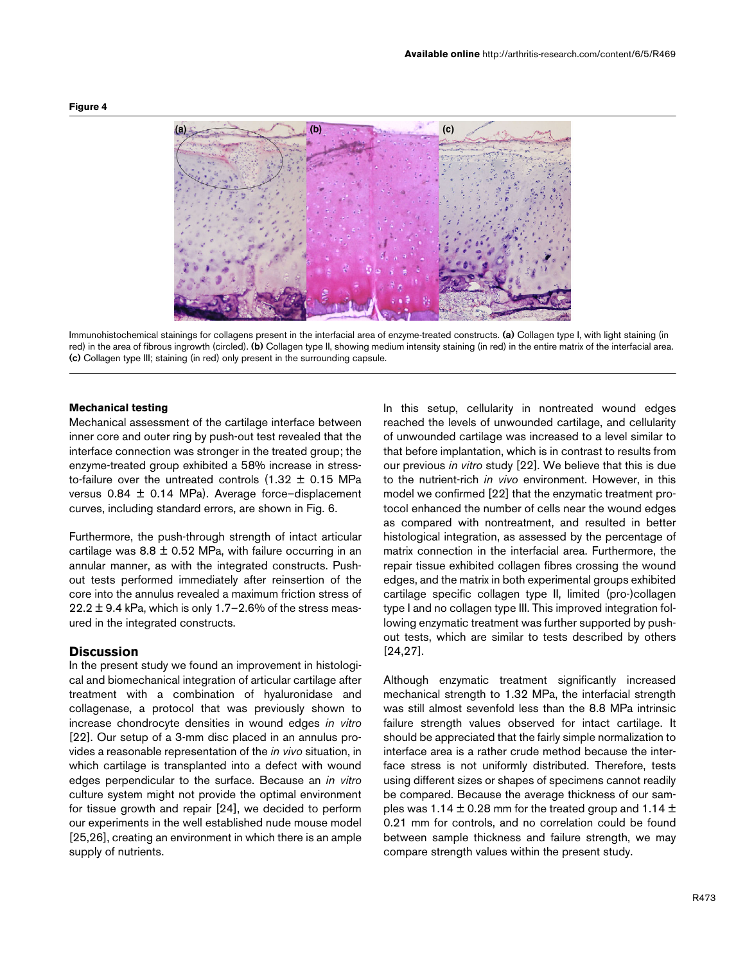

Immunohistochemical stainings for collagens present in the interfacial area of enzyme-treated constructs. **(a)** Collagen type I, with light staining (in red) in the area of fibrous ingrowth (circled). **(b)** Collagen type II, showing medium intensity staining (in red) in the entire matrix of the interfacial area. **(c)** Collagen type III; staining (in red) only present in the surrounding capsule.

## **Mechanical testing**

Mechanical assessment of the cartilage interface between inner core and outer ring by push-out test revealed that the interface connection was stronger in the treated group; the enzyme-treated group exhibited a 58% increase in stressto-failure over the untreated controls (1.32  $\pm$  0.15 MPa versus  $0.84 \pm 0.14$  MPa). Average force-displacement curves, including standard errors, are shown in Fig. 6.

Furthermore, the push-through strength of intact articular cartilage was  $8.8 \pm 0.52$  MPa, with failure occurring in an annular manner, as with the integrated constructs. Pushout tests performed immediately after reinsertion of the core into the annulus revealed a maximum friction stress of  $22.2 \pm 9.4$  kPa, which is only 1.7-2.6% of the stress measured in the integrated constructs.

### **Discussion**

In the present study we found an improvement in histological and biomechanical integration of articular cartilage after treatment with a combination of hyaluronidase and collagenase, a protocol that was previously shown to increase chondrocyte densities in wound edges *in vitro* [22]. Our setup of a 3-mm disc placed in an annulus provides a reasonable representation of the *in vivo* situation, in which cartilage is transplanted into a defect with wound edges perpendicular to the surface. Because an *in vitro* culture system might not provide the optimal environment for tissue growth and repair [24], we decided to perform our experiments in the well established nude mouse model [25,26], creating an environment in which there is an ample supply of nutrients.

In this setup, cellularity in nontreated wound edges reached the levels of unwounded cartilage, and cellularity of unwounded cartilage was increased to a level similar to that before implantation, which is in contrast to results from our previous *in vitro* study [22]. We believe that this is due to the nutrient-rich *in vivo* environment. However, in this model we confirmed [22] that the enzymatic treatment protocol enhanced the number of cells near the wound edges as compared with nontreatment, and resulted in better histological integration, as assessed by the percentage of matrix connection in the interfacial area. Furthermore, the repair tissue exhibited collagen fibres crossing the wound edges, and the matrix in both experimental groups exhibited cartilage specific collagen type II, limited (pro-)collagen type I and no collagen type III. This improved integration following enzymatic treatment was further supported by pushout tests, which are similar to tests described by others [24,27].

Although enzymatic treatment significantly increased mechanical strength to 1.32 MPa, the interfacial strength was still almost sevenfold less than the 8.8 MPa intrinsic failure strength values observed for intact cartilage. It should be appreciated that the fairly simple normalization to interface area is a rather crude method because the interface stress is not uniformly distributed. Therefore, tests using different sizes or shapes of specimens cannot readily be compared. Because the average thickness of our samples was 1.14  $\pm$  0.28 mm for the treated group and 1.14  $\pm$ 0.21 mm for controls, and no correlation could be found between sample thickness and failure strength, we may compare strength values within the present study.

#### **Figure 4**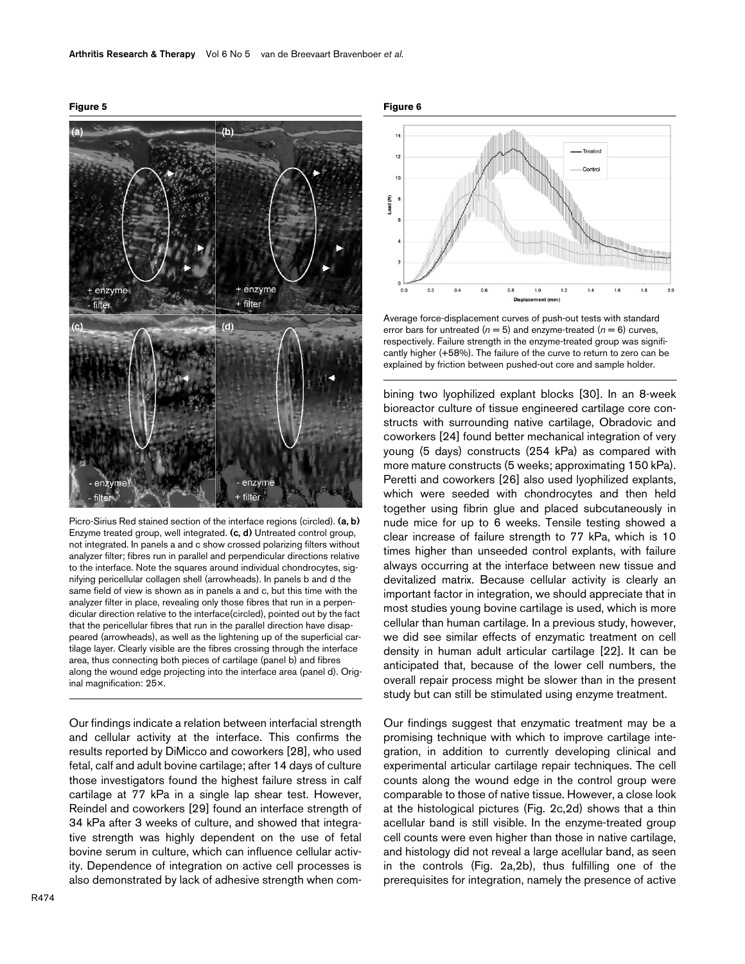**Figure 5**



Picro-Sirius Red stained section of the interface regions (circled). (a, b) Enzyme treated group, well integrated. **(c, d)** Untreated control group, not integrated. In panels a and c show crossed polarizing filters without analyzer filter; fibres run in parallel and perpendicular directions relative to the interface. Note the squares around individual chondrocytes, signifying pericellular collagen shell (arrowheads). In panels b and d the same field of view is shown as in panels a and c, but this time with the analyzer filter in place, revealing only those fibres that run in a perpendicular direction relative to the interface(circled), pointed out by the fact that the pericellular fibres that run in the parallel direction have disappeared (arrowheads), as well as the lightening up of the superficial cartilage layer. Clearly visible are the fibres crossing through the interface area, thus connecting both pieces of cartilage (panel b) and fibres along the wound edge projecting into the interface area (panel d). Original magnification: 25×.

Our findings indicate a relation between interfacial strength and cellular activity at the interface. This confirms the results reported by DiMicco and coworkers [28], who used fetal, calf and adult bovine cartilage; after 14 days of culture those investigators found the highest failure stress in calf cartilage at 77 kPa in a single lap shear test. However, Reindel and coworkers [29] found an interface strength of 34 kPa after 3 weeks of culture, and showed that integrative strength was highly dependent on the use of fetal bovine serum in culture, which can influence cellular activity. Dependence of integration on active cell processes is also demonstrated by lack of adhesive strength when com**Figure 6**



Average force-displacement curves of push-out tests with standard *Average force-displacement curves of push-out tests with standard* error bars for untreated ( $n = 5$ ) and enzyme-treated ( $n = 6$ ) curves, respectively. Failure strength in the enzyme-treated group was significantly higher (+58%). The failure of the curve to return to zero can be explained by friction between pushed-out core and sample holder.

bining two lyophilized explant blocks [30]. In an 8-week bioreactor culture of tissue engineered cartilage core constructs with surrounding native cartilage, Obradovic and coworkers [24] found better mechanical integration of very young (5 days) constructs (254 kPa) as compared with more mature constructs (5 weeks; approximating 150 kPa). Peretti and coworkers [26] also used lyophilized explants, which were seeded with chondrocytes and then held together using fibrin glue and placed subcutaneously in nude mice for up to 6 weeks. Tensile testing showed a clear increase of failure strength to 77 kPa, which is 10 times higher than unseeded control explants, with failure always occurring at the interface between new tissue and devitalized matrix. Because cellular activity is clearly an important factor in integration, we should appreciate that in most studies young bovine cartilage is used, which is more cellular than human cartilage. In a previous study, however, we did see similar effects of enzymatic treatment on cell density in human adult articular cartilage [22]. It can be anticipated that, because of the lower cell numbers, the overall repair process might be slower than in the present study but can still be stimulated using enzyme treatment.

Our findings suggest that enzymatic treatment may be a promising technique with which to improve cartilage integration, in addition to currently developing clinical and experimental articular cartilage repair techniques. The cell counts along the wound edge in the control group were comparable to those of native tissue. However, a close look at the histological pictures (Fig. 2c,2d) shows that a thin acellular band is still visible. In the enzyme-treated group cell counts were even higher than those in native cartilage, and histology did not reveal a large acellular band, as seen in the controls (Fig. 2a,2b), thus fulfilling one of the prerequisites for integration, namely the presence of active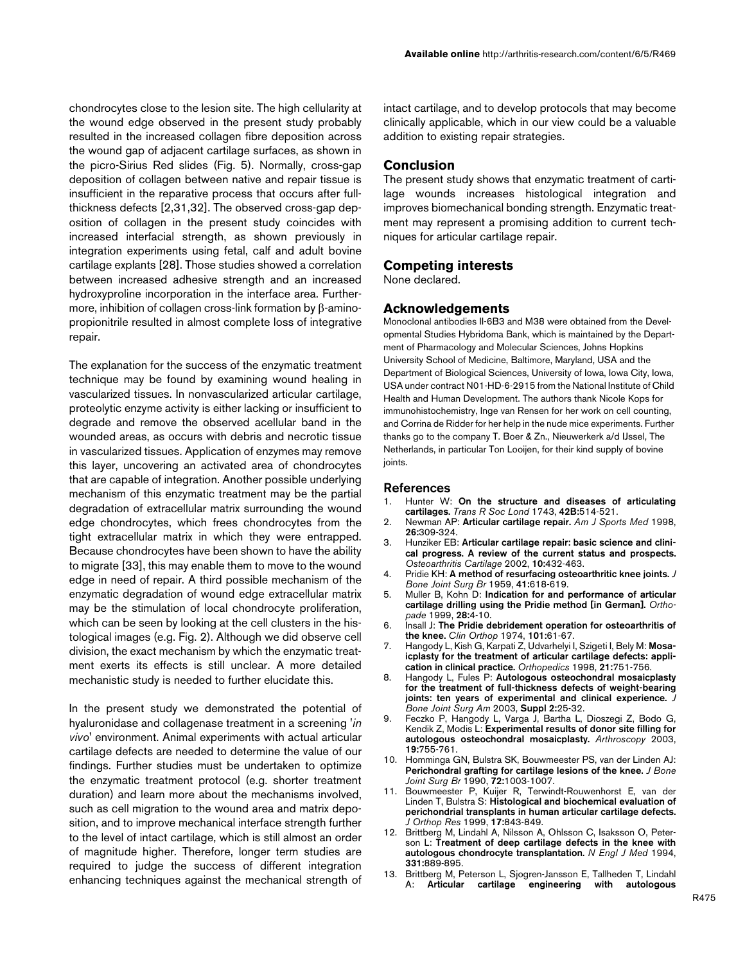chondrocytes close to the lesion site. The high cellularity at the wound edge observed in the present study probably resulted in the increased collagen fibre deposition across the wound gap of adjacent cartilage surfaces, as shown in the picro-Sirius Red slides (Fig. 5). Normally, cross-gap deposition of collagen between native and repair tissue is insufficient in the reparative process that occurs after fullthickness defects [2,31,32]. The observed cross-gap deposition of collagen in the present study coincides with increased interfacial strength, as shown previously in integration experiments using fetal, calf and adult bovine cartilage explants [28]. Those studies showed a correlation between increased adhesive strength and an increased hydroxyproline incorporation in the interface area. Furthermore, inhibition of collagen cross-link formation by β-aminopropionitrile resulted in almost complete loss of integrative repair.

The explanation for the success of the enzymatic treatment technique may be found by examining wound healing in vascularized tissues. In nonvascularized articular cartilage, proteolytic enzyme activity is either lacking or insufficient to degrade and remove the observed acellular band in the wounded areas, as occurs with debris and necrotic tissue in vascularized tissues. Application of enzymes may remove this layer, uncovering an activated area of chondrocytes that are capable of integration. Another possible underlying mechanism of this enzymatic treatment may be the partial degradation of extracellular matrix surrounding the wound edge chondrocytes, which frees chondrocytes from the tight extracellular matrix in which they were entrapped. Because chondrocytes have been shown to have the ability to migrate [33], this may enable them to move to the wound edge in need of repair. A third possible mechanism of the enzymatic degradation of wound edge extracellular matrix may be the stimulation of local chondrocyte proliferation, which can be seen by looking at the cell clusters in the histological images (e.g. Fig. 2). Although we did observe cell division, the exact mechanism by which the enzymatic treatment exerts its effects is still unclear. A more detailed mechanistic study is needed to further elucidate this.

In the present study we demonstrated the potential of hyaluronidase and collagenase treatment in a screening '*in vivo*' environment. Animal experiments with actual articular cartilage defects are needed to determine the value of our findings. Further studies must be undertaken to optimize the enzymatic treatment protocol (e.g. shorter treatment duration) and learn more about the mechanisms involved, such as cell migration to the wound area and matrix deposition, and to improve mechanical interface strength further to the level of intact cartilage, which is still almost an order of magnitude higher. Therefore, longer term studies are required to judge the success of different integration enhancing techniques against the mechanical strength of intact cartilage, and to develop protocols that may become clinically applicable, which in our view could be a valuable addition to existing repair strategies.

# **Conclusion**

The present study shows that enzymatic treatment of cartilage wounds increases histological integration and improves biomechanical bonding strength. Enzymatic treatment may represent a promising addition to current techniques for articular cartilage repair.

### **Competing interests**

None declared.

### **Acknowledgements**

Monoclonal antibodies II-6B3 and M38 were obtained from the Developmental Studies Hybridoma Bank, which is maintained by the Department of Pharmacology and Molecular Sciences, Johns Hopkins University School of Medicine, Baltimore, Maryland, USA and the Department of Biological Sciences, University of Iowa, Iowa City, Iowa, USA under contract N01-HD-6-2915 from the National Institute of Child Health and Human Development. The authors thank Nicole Kops for immunohistochemistry, Inge van Rensen for her work on cell counting, and Corrina de Ridder for her help in the nude mice experiments. Further thanks go to the company T. Boer & Zn., Nieuwerkerk a/d IJssel, The Netherlands, in particular Ton Looijen, for their kind supply of bovine joints.

## **References**

- 1. Hunter W: **On the structure and diseases of articulating cartilages.** *Trans R Soc Lond* 1743, **42B:**514-521.
- 2. Newman AP: **[Articular cartilage repair.](http://www.ncbi.nlm.nih.gov/entrez/query.fcgi?cmd=Retrieve&db=PubMed&dopt=Abstract&list_uids=9548130)** *Am J Sports Med* 1998, **26:**309-324.
- 3. Hunziker EB: **[Articular cartilage repair: basic science and clini](http://www.ncbi.nlm.nih.gov/entrez/query.fcgi?cmd=Retrieve&db=PubMed&dopt=Abstract&list_uids=10.1053/joca.2002.0801)[cal progress. A review of the current status and prospects](http://www.ncbi.nlm.nih.gov/entrez/query.fcgi?cmd=Retrieve&db=PubMed&dopt=Abstract&list_uids=10.1053/joca.2002.0801)[.](http://www.ncbi.nlm.nih.gov/entrez/query.fcgi?cmd=Retrieve&db=PubMed&dopt=Abstract&list_uids=12056848)** *Osteoarthritis Cartilage* 2002, **10:**432-463.
- 4. Pridie KH: **A method of resurfacing osteoarthritic knee joints.** *J Bone Joint Surg Br* 1959, **41:**618-619.
- 5. Muller B, Kohn D: **[Indication for and performance of articular](http://www.ncbi.nlm.nih.gov/entrez/query.fcgi?cmd=Retrieve&db=PubMed&dopt=Abstract&list_uids=10081038) [cartilage drilling using the Pridie method \[in German\].](http://www.ncbi.nlm.nih.gov/entrez/query.fcgi?cmd=Retrieve&db=PubMed&dopt=Abstract&list_uids=10081038)** *Orthopade* 1999, **28:**4-10.
- 6. Insall J: **[The Pridie debridement operation for osteoarthritis of](http://www.ncbi.nlm.nih.gov/entrez/query.fcgi?cmd=Retrieve&db=PubMed&dopt=Abstract&list_uids=4837919) [the knee.](http://www.ncbi.nlm.nih.gov/entrez/query.fcgi?cmd=Retrieve&db=PubMed&dopt=Abstract&list_uids=4837919)** *Clin Orthop* 1974, **101:**61-67.
- 7. Hangody L, Kish G, Karpati Z, Udvarhelyi I, Szigeti I, Bely M: **[Mosa](http://www.ncbi.nlm.nih.gov/entrez/query.fcgi?cmd=Retrieve&db=PubMed&dopt=Abstract&list_uids=9672912)[icplasty for the treatment of articular cartilage defects: appli](http://www.ncbi.nlm.nih.gov/entrez/query.fcgi?cmd=Retrieve&db=PubMed&dopt=Abstract&list_uids=9672912)[cation in clinical practice.](http://www.ncbi.nlm.nih.gov/entrez/query.fcgi?cmd=Retrieve&db=PubMed&dopt=Abstract&list_uids=9672912)** *Orthopedics* 1998, **21:**751-756.
- 8. Hangody L, Fules P: **Autologous osteochondral mosaicplasty for the treatment of full-thickness defects of weight-bearing joints: ten years of experimental and clinical experience.** *J Bone Joint Surg Am* 2003, **Suppl 2:**25-32.
- 9. Feczko P, Hangody L, Varga J, Bartha L, Dioszegi Z, Bodo G, Kendik Z, Modis L: **[Experimental results of donor site filling for](http://www.ncbi.nlm.nih.gov/entrez/query.fcgi?cmd=Retrieve&db=PubMed&dopt=Abstract&list_uids=12966384) [autologous osteochondral mosaicplasty.](http://www.ncbi.nlm.nih.gov/entrez/query.fcgi?cmd=Retrieve&db=PubMed&dopt=Abstract&list_uids=12966384)** *Arthroscopy* 2003, **19:**755-761.
- 10. Homminga GN, Bulstra SK, Bouwmeester PS, van der Linden AJ: **[Perichondral grafting for cartilage lesions of the knee.](http://www.ncbi.nlm.nih.gov/entrez/query.fcgi?cmd=Retrieve&db=PubMed&dopt=Abstract&list_uids=2246280)** *J Bone Joint Surg Br* 1990, **72:**1003-1007.
- 11. Bouwmeester P, Kuijer R, Terwindt-Rouwenhorst E, van der Linden T, Bulstra S: **[Histological and biochemical evaluation of](http://www.ncbi.nlm.nih.gov/entrez/query.fcgi?cmd=Retrieve&db=PubMed&dopt=Abstract&list_uids=10632451) [perichondrial transplants in human articular cartilage defects.](http://www.ncbi.nlm.nih.gov/entrez/query.fcgi?cmd=Retrieve&db=PubMed&dopt=Abstract&list_uids=10632451)** *J Orthop Res* 1999, **17:**843-849.
- 12. Brittberg M, Lindahl A, Nilsson A, Ohlsson C, Isaksson O, Peterson L: **[Treatment of deep cartilage defects in the knee with](http://www.ncbi.nlm.nih.gov/entrez/query.fcgi?cmd=Retrieve&db=PubMed&dopt=Abstract&list_uids=10.1056/NEJM199410063311401) [autologous chondrocyte transplantation](http://www.ncbi.nlm.nih.gov/entrez/query.fcgi?cmd=Retrieve&db=PubMed&dopt=Abstract&list_uids=10.1056/NEJM199410063311401)[.](http://www.ncbi.nlm.nih.gov/entrez/query.fcgi?cmd=Retrieve&db=PubMed&dopt=Abstract&list_uids=8078550)** *N Engl J Med* 1994, **331:**889-895.
- 13. Brittberg M, Peterson L, Sjogren-Jansson E, Tallheden T, Lindahl A: Articular cartilage engineering with autologous